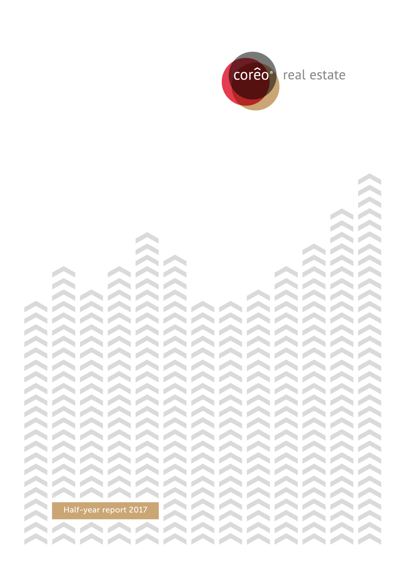

**STARTING** 

**STARTING CONTRACTOR Contract Contract Contract**  $\sim$   $\sim$   $\sim$  $\sim$   $\sim$   $\sim$ AAAA **CONTRACTOR**  $\bigwedge\bigwedge\bigwedge\bigwedge\bigwedge\bigwedge$  $\bigwedge\bigwedge\bigwedge\bigwedge\bigwedge$  $\bigwedge\bigwedge\bigwedge\bigwedge\bigwedge$ AAAAAAAAAAAAA AAAAAAAAAAAAAA AAAAAAAAAAAAA AAAAAAAAAAAAAA AAAAAAAAAAAAAA AAAAAAAAAAAAA AAAAAAAAAAAAAA AAAAAAAAAAAAA AAAAAAAAAAAAA AAAAAAAAAAAAAA AAAAAAAAAAAAA AAAAAAAAAAAAA AAAAAAAAAAAAAA AAAAAAAAAAAAA AAAAAAAAAAAAA AAAAAAAAAAAAA AAAAAAAAAAAAAA **CONTRACTOR AAAAAAAAA** Half-year report 2017**STARTING** AAAAAAAAAAAAAA AAAAAAAAAAAAA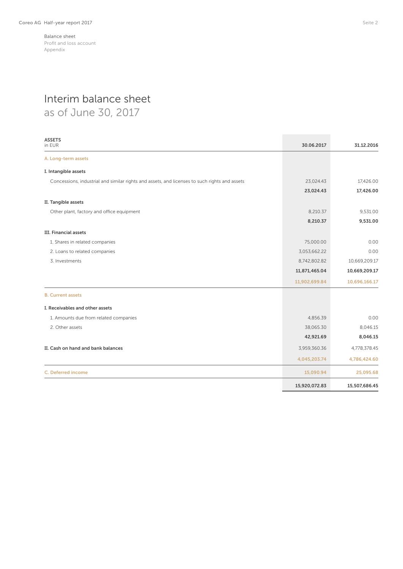# Interim balance sheet

as of June 30, 2017

| <b>ASSETS</b><br>in EUR                                                                       | 30.06.2017    | 31.12.2016    |
|-----------------------------------------------------------------------------------------------|---------------|---------------|
| A. Long-term assets                                                                           |               |               |
| I. Intangible assets                                                                          |               |               |
| Concessions, industrial and similar rights and assets, and licenses to such rights and assets | 23,024.43     | 17,426.00     |
|                                                                                               | 23,024.43     | 17,426.00     |
| II. Tangible assets                                                                           |               |               |
| Other plant, factory and office equipment                                                     | 8,210.37      | 9,531.00      |
|                                                                                               | 8,210.37      | 9,531.00      |
| <b>III. Financial assets</b>                                                                  |               |               |
| 1. Shares in related companies                                                                | 75,000.00     | 0.00          |
| 2. Loans to related companies                                                                 | 3,053,662.22  | 0.00          |
| 3. Investments                                                                                | 8,742,802.82  | 10,669,209.17 |
|                                                                                               | 11,871,465.04 | 10,669,209.17 |
|                                                                                               | 11,902,699.84 | 10,696,166.17 |
| <b>B. Current assets</b>                                                                      |               |               |
| I. Receivables and other assets                                                               |               |               |
| 1. Amounts due from related companies                                                         | 4,856.39      | 0.00          |
| 2. Other assets                                                                               | 38,065.30     | 8,046.15      |
|                                                                                               | 42,921.69     | 8,046.15      |
| II. Cash on hand and bank balances                                                            | 3,959,360.36  | 4,778,378.45  |
|                                                                                               | 4,045,203.74  | 4,786,424.60  |
| C. Deferred income                                                                            | 15,090.94     | 25,095.68     |
|                                                                                               | 15,920,072.83 | 15,507,686.45 |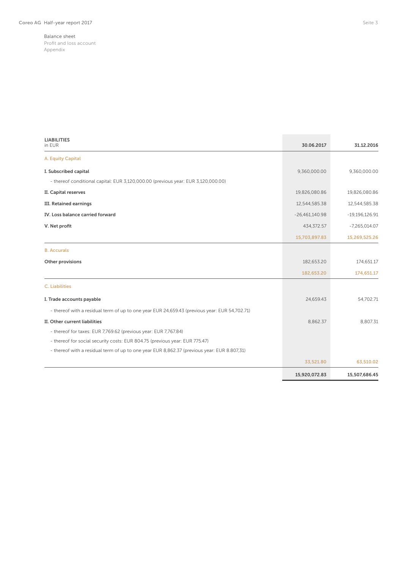| <b>LIABILITIES</b><br>in EUR                                                                  | 30.06.2017       | 31.12.2016       |
|-----------------------------------------------------------------------------------------------|------------------|------------------|
| A. Equity Capital                                                                             |                  |                  |
| I. Subscribed capital                                                                         | 9,360,000.00     | 9,360,000.00     |
| - thereof conditional capital: EUR 3,120,000.00 (previous year: EUR 3,120,000.00)             |                  |                  |
| II. Capital reserves                                                                          | 19,826,080.86    | 19,826,080.86    |
| <b>III. Retained earnings</b>                                                                 | 12,544,585.38    | 12,544,585.38    |
| IV. Loss balance carried forward                                                              | $-26,461,140.98$ | $-19,196,126.91$ |
| V. Net profit                                                                                 | 434,372.57       | $-7,265,014.07$  |
|                                                                                               | 15,703,897.83    | 15,269,525.26    |
| <b>B.</b> Accurals                                                                            |                  |                  |
| Other provisions                                                                              | 182,653.20       | 174,651.17       |
|                                                                                               | 182,653.20       | 174,651.17       |
| <b>C.</b> Liabilities                                                                         |                  |                  |
| I. Trade accounts payable                                                                     | 24,659.43        | 54,702.71        |
| - thereof with a residual term of up to one year EUR 24,659.43 (previous year: EUR 54,702.71) |                  |                  |
| II. Other current liabilities                                                                 | 8.862.37         | 8.807.31         |
| - thereof for taxes: EUR 7,769.62 (previous year: EUR 7,767.84)                               |                  |                  |
| - thereof for social security costs: EUR 804.75 (previous year: EUR 775.47)                   |                  |                  |
| - thereof with a residual term of up to one year EUR 8,862.37 (previous year: EUR 8.807,31)   |                  |                  |
|                                                                                               | 33,521.80        | 63,510.02        |
|                                                                                               | 15,920,072.83    | 15,507,686.45    |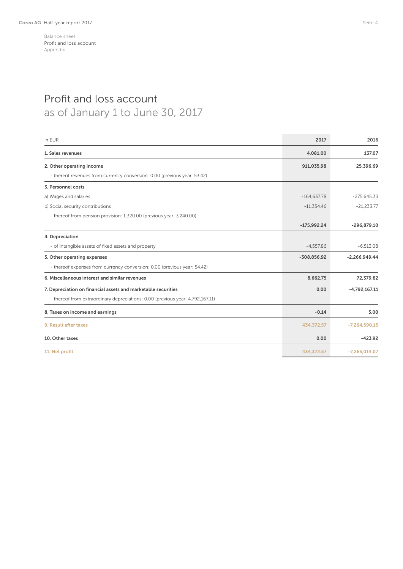## Profit and loss account as of January 1 to June 30, 2017

| in EUR                                                                         | 2017          | 2016            |
|--------------------------------------------------------------------------------|---------------|-----------------|
| 1. Sales revenues                                                              | 4,081.00      | 137.07          |
| 2. Other operating income                                                      | 911,035.98    | 25,396.69       |
| - thereof revenues from currency conversion: 0.00 (previous year: 53.42)       |               |                 |
| 3. Personnel costs                                                             |               |                 |
| a) Wages and salaries                                                          | $-164,637.78$ | $-275,645.33$   |
| b) Social security contributions                                               | $-11,354.46$  | $-21,233.77$    |
| - thereof from pension provision: 1,320.00 (previous year: 3,240.00)           |               |                 |
|                                                                                | $-175,992.24$ | $-296,879.10$   |
| 4. Depreciation                                                                |               |                 |
| - of intangible assets of fixed assets and property                            | $-4.557.86$   | $-6.513.08$     |
| 5. Other operating expenses                                                    | $-308,856.92$ | $-2,266,949.44$ |
| - thereof expenses from currency conversion: 0.00 (previous year: 54.42)       |               |                 |
| 6. Miscellaneous interest and similar revenues                                 | 8,662.75      | 72,379.82       |
| 7. Depreciation on financial assets and marketable securities                  | 0.00          | $-4,792,167.11$ |
| - thereof from extraordinary depreciations: 0.00 (previous year: 4,792,167.11) |               |                 |
| 8. Taxes on income and earnings                                                | $-0.14$       | 5.00            |
| 9. Result after taxes                                                          | 434,372.57    | $-7,264,590.15$ |
| 10. Other taxes                                                                | 0.00          | $-423.92$       |
| 11. Net profit                                                                 | 434,372.57    | $-7,265,014.07$ |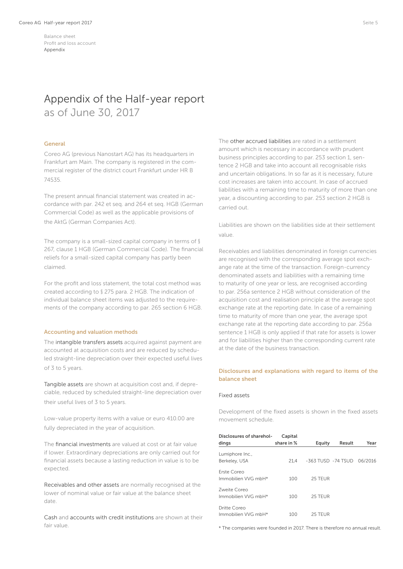## Appendix of the Half-year report as of June 30, 2017

### General

Coreo AG (previous Nanostart AG) has its headquarters in Frankfurt am Main. The company is registered in the commercial register of the district court Frankfurt under HR B 74535.

The present annual financial statement was created in accordance with par. 242 et seq. and 264 et seq. HGB (German Commercial Code) as well as the applicable provisions of the AktG (German Companies Act).

The company is a small-sized capital company in terms of § 267, clause 1 HGB (German Commercial Code). The financial reliefs for a small-sized capital company has partly been claimed.

For the profit and loss statement, the total cost method was created according to § 275 para. 2 HGB. The indication of individual balance sheet items was adjusted to the requirements of the company according to par. 265 section 6 HGB.

## Accounting and valuation methods

The intangible transfers assets acquired against payment are accounted at acquisition costs and are reduced by scheduled straight-line depreciation over their expected useful lives of 3 to 5 years.

Tangible assets are shown at acquisition cost and, if depreciable, reduced by scheduled straight-line depreciation over their useful lives of 3 to 5 years.

Low-value property items with a value or euro 410.00 are fully depreciated in the year of acquisition.

The financial investments are valued at cost or at fair value if lower. Extraordinary depreciations are only carried out for financial assets because a lasting reduction in value is to be expected.

Receivables and other assets are normally recognised at the lower of nominal value or fair value at the balance sheet date.

Cash and accounts with credit institutions are shown at their fair value.

The other accrued liabilities are rated in a settlement amount which is necessary in accordance with prudent business principles according to par. 253 section 1, sentence 2 HGB and take into account all recognisable risks and uncertain obligations. In so far as it is necessary, future cost increases are taken into account. In case of accrued liabilities with a remaining time to maturity of more than one year, a discounting according to par. 253 section 2 HGB is carried out.

Liabilities are shown on the liabilities side at their settlement value.

Receivables and liabilities denominated in foreign currencies are recognised with the corresponding average spot exchange rate at the time of the transaction. Foreign-currency denominated assets and liabilities with a remaining time to maturity of one year or less, are recognised according to par. 256a sentence 2 HGB without consideration of the acquisition cost and realisation principle at the average spot exchange rate at the reporting date. In case of a remaining time to maturity of more than one year, the average spot exchange rate at the reporting date according to par. 256a sentence 1 HGB is only applied if that rate for assets is lower and for liabilities higher than the corresponding current rate at the date of the business transaction.

## Disclosures and explanations with regard to items of the balance sheet

## Fixed assets

Development of the fixed assets is shown in the fixed assets movement schedule.

| Disclosures of sharehol-<br>dings   | Capital<br>share in % | Equity             | Result | Year    |
|-------------------------------------|-----------------------|--------------------|--------|---------|
| Lumiphore Inc.,<br>Berkeley, USA    | 21.4                  | -363 TUSD -74 TSUD |        | 06/2016 |
| Erste Coreo<br>Immobilien WG mbH*   | 100                   | 25 TEUR            |        |         |
| Zweite Coreo<br>Immobilien WG mbH*  | 100                   | 25 TEUR            |        |         |
| Dritte Coreo<br>Immobilien VVG mbH* | 100                   | 25 TEUR            |        |         |

\* The companies were founded in 2017. There is therefore no annual result.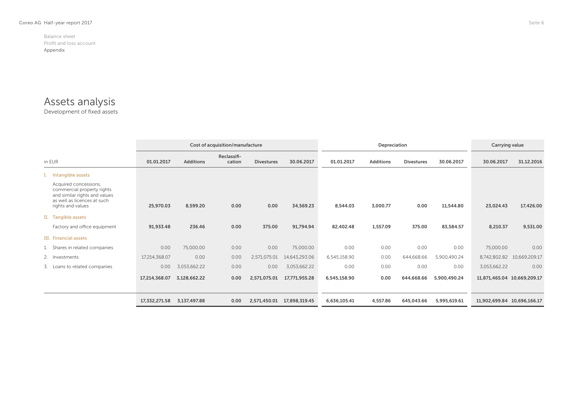## Assets analysis

Development of fixed assets

|                                                                                                                                          |               |                  | Cost of acquisition/manufacture |                   |               | Depreciation |                  |                   | Carrying value |                             |               |
|------------------------------------------------------------------------------------------------------------------------------------------|---------------|------------------|---------------------------------|-------------------|---------------|--------------|------------------|-------------------|----------------|-----------------------------|---------------|
| in EUR                                                                                                                                   | 01.01.2017    | <b>Additions</b> | Reclassifi-<br>cation           | <b>Divestures</b> | 30.06.2017    | 01.01.2017   | <b>Additions</b> | <b>Divestures</b> | 30.06.2017     | 30.06.2017                  | 31.12.2016    |
| I. Intangible assets                                                                                                                     |               |                  |                                 |                   |               |              |                  |                   |                |                             |               |
| Acquired concessions,<br>commercial property rights<br>and similar rights and values<br>as well as licences at such<br>rights and values | 25,970.03     | 8,599.20         | 0.00                            | 0.00              | 34,569.23     | 8,544.03     | 3,000.77         | 0.00              | 11,544.80      | 23,024.43                   | 17,426.00     |
| II. Tangible assets                                                                                                                      |               |                  |                                 |                   |               |              |                  |                   |                |                             |               |
| Factory and office equipment                                                                                                             | 91,933.48     | 236.46           | 0.00                            | 375.00            | 91,794.94     | 82,402.48    | 1,557.09         | 375.00            | 83,584.57      | 8,210.37                    | 9,531.00      |
| III. Financial assets                                                                                                                    |               |                  |                                 |                   |               |              |                  |                   |                |                             |               |
| 1. Shares in related companies                                                                                                           | 0.00          | 75,000.00        | 0.00                            | 0.00              | 75,000.00     | 0.00         | 0.00             | 0.00              | 0.00           | 75,000.00                   | 0.00          |
| 2. Investments                                                                                                                           | 17,214,368.07 | 0.00             | 0.00                            | 2,571,075.01      | 14,643,293.06 | 6,545,158.90 | 0.00             | 644,668.66        | 5,900,490.24   | 8,742,802.82                | 10,669,209.17 |
| 3. Loans to related companies                                                                                                            | 0.00          | 3.053.662.22     | 0.00                            | 0.00              | 3,053,662.22  | 0.00         | 0.00             | 0.00              | 0.00           | 3,053,662.22                | 0.00          |
|                                                                                                                                          | 17,214,368.07 | 3,128,662.22     | 0.00                            | 2,571,075.01      | 17,771,955.28 | 6,545,158.90 | 0.00             | 644,668.66        | 5,900,490.24   | 11,871,465.04 10,669,209.17 |               |
|                                                                                                                                          | 17,332,271.58 | 3,137,497.88     | 0.00                            | 2,571,450.01      | 17,898,319.45 | 6,636,105.41 | 4,557.86         | 645,043.66        | 5,995,619.61   | 11,902,699.84 10,696,166.17 |               |